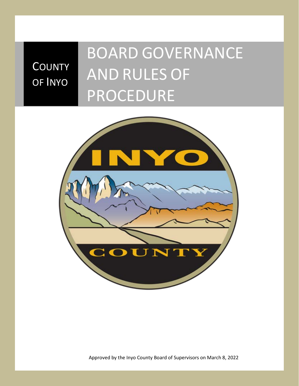# **COUNTY** OF INYO

# BOARD GOVERNANCE AND RULES OF PROCEDURE



Approved by the Inyo County Board of Supervisors on March 8, 2022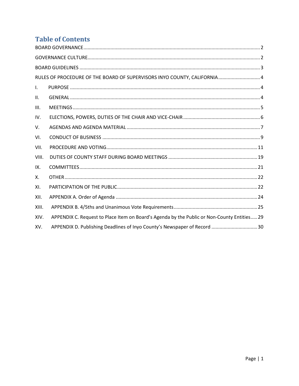## **Table of Contents**

| RULES OF PROCEDURE OF THE BOARD OF SUPERVISORS INYO COUNTY, CALIFORNIA 4 |                                                                                             |  |  |
|--------------------------------------------------------------------------|---------------------------------------------------------------------------------------------|--|--|
| $\mathsf{L}$                                                             |                                                                                             |  |  |
| II.                                                                      |                                                                                             |  |  |
| III.                                                                     |                                                                                             |  |  |
| IV.                                                                      |                                                                                             |  |  |
| V.                                                                       |                                                                                             |  |  |
| VI.                                                                      |                                                                                             |  |  |
| VII.                                                                     |                                                                                             |  |  |
| VIII.                                                                    |                                                                                             |  |  |
| IX.                                                                      |                                                                                             |  |  |
| Х.                                                                       |                                                                                             |  |  |
| XI.                                                                      |                                                                                             |  |  |
| XII.                                                                     |                                                                                             |  |  |
| XIII.                                                                    |                                                                                             |  |  |
| XIV.                                                                     | APPENDIX C. Request to Place Item on Board's Agenda by the Public or Non-County Entities 29 |  |  |
| XV.                                                                      | APPENDIX D. Publishing Deadlines of Inyo County's Newspaper of Record  30                   |  |  |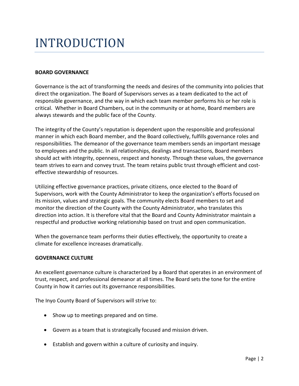## INTRODUCTION

#### <span id="page-2-0"></span>**BOARD GOVERNANCE**

Governance is the act of transforming the needs and desires of the community into policies that direct the organization. The Board of Supervisors serves as a team dedicated to the act of responsible governance, and the way in which each team member performs his or her role is critical. Whether in Board Chambers, out in the community or at home, Board members are always stewards and the public face of the County.

The integrity of the County's reputation is dependent upon the responsible and professional manner in which each Board member, and the Board collectively, fulfills governance roles and responsibilities. The demeanor of the governance team members sends an important message to employees and the public. In all relationships, dealings and transactions, Board members should act with integrity, openness, respect and honesty. Through these values, the governance team strives to earn and convey trust. The team retains public trust through efficient and costeffective stewardship of resources.

Utilizing effective governance practices, private citizens, once elected to the Board of Supervisors, work with the County Administrator to keep the organization's efforts focused on its mission, values and strategic goals. The community elects Board members to set and monitor the direction of the County with the County Administrator, who translates this direction into action. It is therefore vital that the Board and County Administrator maintain a respectful and productive working relationship based on trust and open communication.

When the governance team performs their duties effectively, the opportunity to create a climate for excellence increases dramatically.

#### <span id="page-2-1"></span>**GOVERNANCE CULTURE**

An excellent governance culture is characterized by a Board that operates in an environment of trust, respect, and professional demeanor at all times. The Board sets the tone for the entire County in how it carries out its governance responsibilities.

The Inyo County Board of Supervisors will strive to:

- Show up to meetings prepared and on time.
- Govern as a team that is strategically focused and mission driven.
- Establish and govern within a culture of curiosity and inquiry.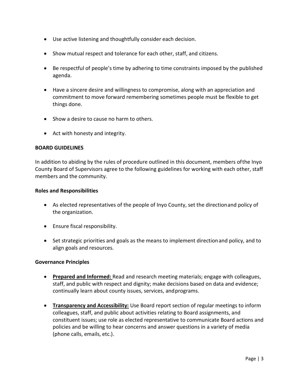- Use active listening and thoughtfully consider each decision.
- Show mutual respect and tolerance for each other, staff, and citizens.
- Be respectful of people's time by adhering to time constraints imposed by the published agenda.
- Have a sincere desire and willingness to compromise, along with an appreciation and commitment to move forward remembering sometimes people must be flexible to get things done.
- Show a desire to cause no harm to others.
- Act with honesty and integrity.

#### <span id="page-3-0"></span>**BOARD GUIDELINES**

In addition to abiding by the rules of procedure outlined in this document, members ofthe Inyo County Board of Supervisors agree to the following guidelines for working with each other, staff members and the community.

#### **Roles and Responsibilities**

- As elected representatives of the people of Inyo County, set the directionand policy of the organization.
- Ensure fiscal responsibility.
- Set strategic priorities and goals as the means to implement directionand policy, and to align goals and resources.

#### **Governance Principles**

- **Prepared and Informed:** Read and research meeting materials; engage with colleagues, staff, and public with respect and dignity; make decisions based on data and evidence; continually learn about county issues, services, andprograms.
- **Transparency and Accessibility:** Use Board report section of regular meetings to inform colleagues, staff, and public about activities relating to Board assignments, and constituent issues; use role as elected representative to communicate Board actions and policies and be willing to hear concerns and answer questions in a variety of media (phone calls, emails, etc.).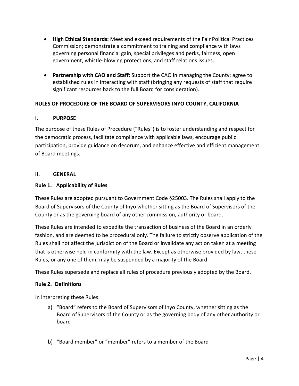- **High Ethical Standards:** Meet and exceed requirements of the Fair Political Practices Commission; demonstrate a commitment to training and compliance with laws governing personal financial gain, special privileges and perks, fairness, open government, whistle-blowing protections, and staff relations issues.
- **Partnership with CAO and Staff:** Support the CAO in managing the County; agree to established rules in interacting with staff (bringing any requests of staff that require significant resources back to the full Board for consideration).

#### <span id="page-4-0"></span>**RULES OF PROCEDURE OF THE BOARD OF SUPERVISORS INYO COUNTY, CALIFORNIA**

#### <span id="page-4-1"></span>**I. PURPOSE**

The purpose of these Rules of Procedure ("Rules") is to foster understanding and respect for the democratic process, facilitate compliance with applicable laws, encourage public participation, provide guidance on decorum, and enhance effective and efficient management of Board meetings.

#### <span id="page-4-2"></span>**II. GENERAL**

#### **Rule 1. Applicability of Rules**

These Rules are adopted pursuant to Government Code §25003. The Rules shall apply to the Board of Supervisors of the County of Inyo whether sitting as the Board of Supervisors of the County or as the governing board of any other commission, authority or board.

These Rules are intended to expedite the transaction of business of the Board in an orderly fashion, and are deemed to be procedural only. The failure to strictly observe application of the Rules shall not affect the jurisdiction of the Board or invalidate any action taken at a meeting that is otherwise held in conformity with the law. Except as otherwise provided by law, these Rules, or any one of them, may be suspended by a majority of the Board.

These Rules supersede and replace all rules of procedure previously adopted by the Board.

#### **Rule 2. Definitions**

In interpreting these Rules:

- a) "Board" refers to the Board of Supervisors of Inyo County, whether sitting as the Board ofSupervisors of the County or as the governing body of any other authority or board
- b) "Board member" or "member" refers to a member of the Board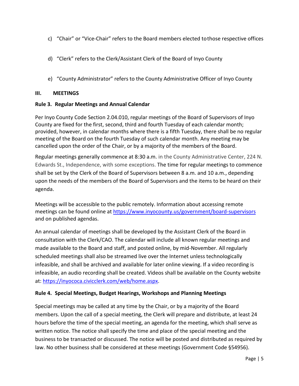- c) "Chair" or "Vice-Chair" refers to the Board members elected tothose respective offices
- d) "Clerk" refers to the Clerk/Assistant Clerk of the Board of Inyo County
- e) "County Administrator" refers to the County Administrative Officer of Inyo County

#### <span id="page-5-0"></span>**III. MEETINGS**

#### **Rule 3. Regular Meetings and Annual Calendar**

Per Inyo County Code Section 2.04.010, regular meetings of the Board of Supervisors of Inyo County are fixed for the first, second, third and fourth Tuesday of each calendar month; provided, however, in calendar months where there is a fifth Tuesday, there shall be no regular meeting of the Board on the fourth Tuesday of such calendar month. Any meeting may be cancelled upon the order of the Chair, or by a majority of the members of the Board.

Regular meetings generally commence at 8:30 a.m. in the County Administrative Center, 224 N. Edwards St., Independence, with some exceptions. The time for regular meetings to commence shall be set by the Clerk of the Board of Supervisors between 8 a.m. and 10 a.m., depending upon the needs of the members of the Board of Supervisors and the items to be heard on their agenda.

Meetings will be accessible to the public remotely. Information about accessing remote meetings can be found online a[t https://www.inyocounty.us/government/board-supervisors](https://www.inyocounty.us/government/board-supervisors) and on published agendas.

An annual calendar of meetings shall be developed by the Assistant Clerk of the Board in consultation with the Clerk/CAO. The calendar will include all known regular meetings and made available to the Board and staff, and posted online, by mid-November. All regularly scheduled meetings shall also be streamed live over the Internet unless technologically infeasible, and shall be archived and available for later online viewing. If a video recording is infeasible, an audio recording shall be created. Videos shall be available on the County website at[: https://inyococa.civicclerk.com/web/home.aspx.](https://inyococa.civicclerk.com/web/home.aspx)

#### **Rule 4. Special Meetings, Budget Hearings, Workshops and Planning Meetings**

Special meetings may be called at any time by the Chair, or by a majority of the Board members. Upon the call of a special meeting, the Clerk will prepare and distribute, at least 24 hours before the time of the special meeting, an agenda for the meeting, which shall serve as written notice. The notice shall specify the time and place of the special meeting and the business to be transacted or discussed. The notice will be posted and distributed as required by law. No other business shall be considered at these meetings (Government Code §54956).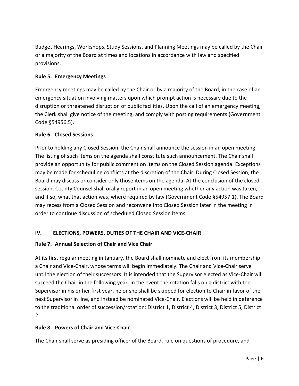Budget Hearings, Workshops, Study Sessions, and Planning Meetings may be called by the Chair or a majority of the Board at times and locations in accordance with law and specified provisions.

#### **Rule 5. Emergency Meetings**

Emergency meetings may be called by the Chair or by a majority of the Board, in the case of an emergency situation involving matters upon which prompt action is necessary due to the disruption or threatened disruption of public facilities. Upon the call of an emergency meeting, the Clerk shall give notice of the meeting, and comply with posting requirements (Government Code §54956.5).

#### **Rule 6. Closed Sessions**

Prior to holding any Closed Session, the Chair shall announce the session in an open meeting. The listing of such items on the agenda shall constitute such announcement. The Chair shall provide an opportunity for public comment on items on the Closed Session agenda. Exceptions may be made for scheduling conflicts at the discretion of the Chair. During Closed Session, the Board may discuss or consider only those items on the agenda. At the conclusion of the closed session, County Counsel shall orally report in an open meeting whether any action was taken, and if so, what that action was, where required by law (Government Code §54957.1). The Board may recess from a Closed Session and reconvene into Closed Session later in the meeting in order to continue discussion of scheduled Closed Session items.

#### <span id="page-6-0"></span>**IV. ELECTIONS, POWERS, DUTIES OF THE CHAIR AND VICE-CHAIR**

#### **Rule 7. Annual Selection of Chair and Vice Chair**

At its first regular meeting in January, the Board shall nominate and elect from its membership a Chair and Vice-Chair, whose terms will begin immediately. The Chair and Vice-Chair serve until the election of their successors. It is intended that the Supervisor elected as Vice-Chair will succeed the Chair in the following year. In the event the rotation falls on a district with the Supervisor in his or her first year, he or she shall be skipped for election to Chair in favor of the next Supervisor in line, and instead be nominated Vice-Chair. Elections will be held in deference to the traditional order of succession/rotation: District 1, District 4, District 3, District 5, District 2.

#### **Rule 8. Powers of Chair and Vice-Chair**

The Chair shall serve as presiding officer of the Board, rule on questions of procedure, and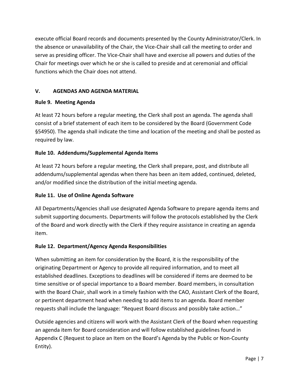execute official Board records and documents presented by the County Administrator/Clerk. In the absence or unavailability of the Chair, the Vice-Chair shall call the meeting to order and serve as presiding officer. The Vice-Chair shall have and exercise all powers and duties of the Chair for meetings over which he or she is called to preside and at ceremonial and official functions which the Chair does not attend.

#### <span id="page-7-0"></span>**V. AGENDAS AND AGENDA MATERIAL**

#### **Rule 9. Meeting Agenda**

At least 72 hours before a regular meeting, the Clerk shall post an agenda. The agenda shall consist of a brief statement of each item to be considered by the Board (Government Code §54950). The agenda shall indicate the time and location of the meeting and shall be posted as required by law.

#### **Rule 10. Addendums/Supplemental Agenda Items**

At least 72 hours before a regular meeting, the Clerk shall prepare, post, and distribute all addendums/supplemental agendas when there has been an item added, continued, deleted, and/or modified since the distribution of the initial meeting agenda.

#### **Rule 11. Use of Online Agenda Software**

All Departments/Agencies shall use designated Agenda Software to prepare agenda items and submit supporting documents. Departments will follow the protocols established by the Clerk of the Board and work directly with the Clerk if they require assistance in creating an agenda item.

#### **Rule 12. Department/Agency Agenda Responsibilities**

When submitting an item for consideration by the Board, it is the responsibility of the originating Department or Agency to provide all required information, and to meet all established deadlines. Exceptions to deadlines will be considered if items are deemed to be time sensitive or of special importance to a Board member. Board members, in consultation with the Board Chair, shall work in a timely fashion with the CAO, Assistant Clerk of the Board, or pertinent department head when needing to add items to an agenda. Board member requests shall include the language: "Request Board discuss and possibly take action…"

Outside agencies and citizens will work with the Assistant Clerk of the Board when requesting an agenda item for Board consideration and will follow established guidelines found in Appendix C (Request to place an Item on the Board's Agenda by the Public or Non-County Entity).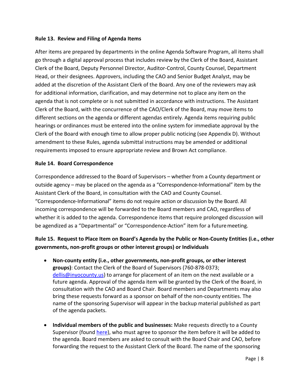#### **Rule 13. Review and Filing of Agenda Items**

After items are prepared by departments in the online Agenda Software Program, all items shall go through a digital approval process that includes review by the Clerk of the Board, Assistant Clerk of the Board, Deputy Personnel Director, Auditor-Control, County Counsel, Department Head, or their designees. Approvers, including the CAO and Senior Budget Analyst, may be added at the discretion of the Assistant Clerk of the Board. Any one of the reviewers may ask for additional information, clarification, and may determine not to place any item on the agenda that is not complete or is not submitted in accordance with instructions. The Assistant Clerk of the Board, with the concurrence of the CAO/Clerk of the Board, may move items to different sections on the agenda or different agendas entirely. Agenda items requiring public hearings or ordinances must be entered into the online system for immediate approval by the Clerk of the Board with enough time to allow proper public noticing (see Appendix D). Without amendment to these Rules, agenda submittal instructions may be amended or additional requirements imposed to ensure appropriate review and Brown Act compliance.

#### **Rule 14. Board Correspondence**

Correspondence addressed to the Board of Supervisors – whether from a County department or outside agency – may be placed on the agenda as a "Correspondence-Informational" item by the Assistant Clerk of the Board, in consultation with the CAO and County Counsel. "Correspondence-Informational" items do not require action or discussion by the Board. All incoming correspondence will be forwarded to the Board members and CAO, regardless of whether it is added to the agenda. Correspondence items that require prolonged discussion will be agendized as a "Departmental" or "Correspondence-Action" item for a futuremeeting.

#### **Rule 15. Request to Place Item on Board's Agenda by the Public or Non-County Entities (i.e., other governments, non-profit groups or other interest groups) or Individuals**

- **Non-county entity (i.e., other governments, non-profit groups, or other interest groups)**: Contact the Clerk of the Board of Supervisors (760-878-0373; [dellis@inyocounty.us\)](mailto:dellis@inyocounty.us) to arrange for placement of an item on the next available or a future agenda. Approval of the agenda item will be granted by the Clerk of the Board, in consultation with the CAO and Board Chair. Board members and Departments may also bring these requests forward as a sponsor on behalf of the non-county entities. The name of the sponsoring Supervisor will appear in the backup material published as part of the agenda packets.
- **Individual members of the public and businesses:** Make requests directly to a County Supervisor (found [here\)](https://www.inyocounty.us/government/board-supervisors/district-lookup-address), who must agree to sponsor the item before it will be added to the agenda. Board members are asked to consult with the Board Chair and CAO, before forwarding the request to the Assistant Clerk of the Board. The name of the sponsoring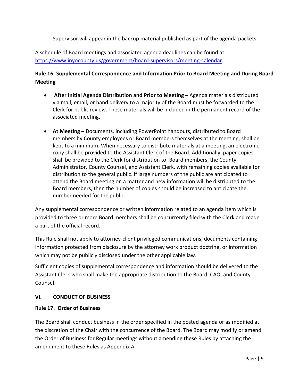Supervisor will appear in the backup material published as part of the agenda packets.

A schedule of Board meetings and associated agenda deadlines can be found at: [https://www.inyocounty.us/government/board-supervisors/meeting-calendar.](https://www.inyocounty.us/government/board-supervisors/meeting-calendar)

#### **Rule 16. Supplemental Correspondence and Information Prior to Board Meeting and During Board Meeting**

- **After Initial Agenda Distribution and Prior to Meeting –** Agenda materials distributed via mail, email, or hand delivery to a majority of the Board must be forwarded to the Clerk for public review. These materials will be included in the permanent record of the associated meeting.
- **At Meeting –** Documents, including PowerPoint handouts, distributed to Board members by County employees or Board members themselves at the meeting, shall be kept to a minimum. When necessary to distribute materials at a meeting, an electronic copy shall be provided to the Assistant Clerk of the Board. Additionally, paper copies shall be provided to the Clerk for distribution to: Board members, the County Administrator, County Counsel, and Assistant Clerk, with remaining copies available for distribution to the general public. If large numbers of the public are anticipated to attend the Board meeting on a matter and new information will be distributed to the Board members, then the number of copies should be increased to anticipate the number needed for the public.

Any supplemental correspondence or written information related to an agenda item which is provided to three or more Board members shall be concurrently filed with the Clerk and made a part of the official record.

This Rule shall not apply to attorney-client privileged communications, documents containing information protected from disclosure by the attorney work product doctrine, or information which may not be publicly disclosed under the other applicable law.

Sufficient copies of supplemental correspondence and information should be delivered to the Assistant Clerk who shall make the appropriate distribution to the Board, CAO, and County Counsel.

#### <span id="page-9-0"></span>**VI. CONDUCT OF BUSINESS**

#### **Rule 17. Order of Business**

The Board shall conduct business in the order specified in the posted agenda or as modified at the discretion of the Chair with the concurrence of the Board. The Board may modify or amend the Order of Business for Regular meetings without amending these Rules by attaching the amendment to these Rules as Appendix A.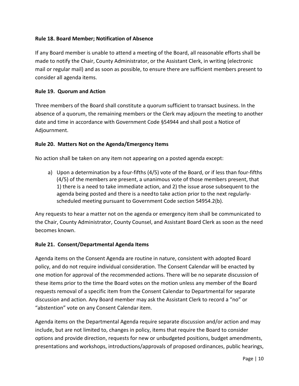#### **Rule 18. Board Member; Notification of Absence**

If any Board member is unable to attend a meeting of the Board, all reasonable efforts shall be made to notify the Chair, County Administrator, or the Assistant Clerk, in writing (electronic mail or regular mail) and as soon as possible, to ensure there are sufficient members present to consider all agenda items.

#### **Rule 19. Quorum and Action**

Three members of the Board shall constitute a quorum sufficient to transact business. In the absence of a quorum, the remaining members or the Clerk may adjourn the meeting to another date and time in accordance with Government Code §54944 and shall post a Notice of Adjournment.

#### **Rule 20. Matters Not on the Agenda/Emergency Items**

No action shall be taken on any item not appearing on a posted agenda except:

a) Upon a determination by a four-fifths (4/5) vote of the Board, or if less than four-fifths (4/5) of the members are present, a unanimous vote of those members present, that 1) there is a need to take immediate action, and 2) the issue arose subsequent to the agenda being posted and there is a needto take action prior to the next regularlyscheduled meeting pursuant to Government Code section 54954.2(b).

Any requests to hear a matter not on the agenda or emergency item shall be communicated to the Chair, County Administrator, County Counsel, and Assistant Board Clerk as soon as the need becomes known.

#### **Rule 21. Consent/Departmental Agenda Items**

Agenda items on the Consent Agenda are routine in nature, consistent with adopted Board policy, and do not require individual consideration. The Consent Calendar will be enacted by one motion for approval of the recommended actions. There will be no separate discussion of these items prior to the time the Board votes on the motion unless any member of the Board requests removal of a specific item from the Consent Calendar to Departmental for separate discussion and action. Any Board member may ask the Assistant Clerk to record a "no" or "abstention" vote on any Consent Calendar item.

Agenda items on the Departmental Agenda require separate discussion and/or action and may include, but are not limited to, changes in policy, items that require the Board to consider options and provide direction, requests for new or unbudgeted positions, budget amendments, presentations and workshops, introductions/approvals of proposed ordinances, public hearings,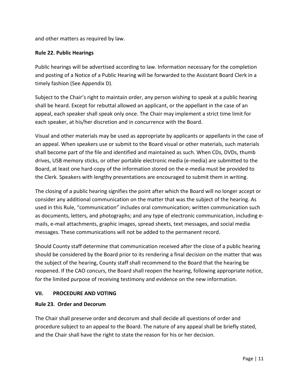and other matters as required by law.

#### **Rule 22. Public Hearings**

Public hearings will be advertised according to law. Information necessary for the completion and posting of a Notice of a Public Hearing will be forwarded to the Assistant Board Clerk in a timely fashion (See Appendix D).

Subject to the Chair's right to maintain order, any person wishing to speak at a public hearing shall be heard. Except for rebuttal allowed an applicant, or the appellant in the case of an appeal, each speaker shall speak only once. The Chair may implement a strict time limit for each speaker, at his/her discretion and in concurrence with the Board.

Visual and other materials may be used as appropriate by applicants or appellants in the case of an appeal. When speakers use or submit to the Board visual or other materials, such materials shall become part of the file and identified and maintained as such. When CDs, DVDs, thumb drives, USB memory sticks, or other portable electronic media (e-media) are submitted to the Board, at least one hard-copy of the information stored on the e-media must be provided to the Clerk. Speakers with lengthy presentations are encouraged to submit them in writing.

The closing of a public hearing signifies the point after which the Board will no longer accept or consider any additional communication on the matter that was the subject of the hearing. As used in this Rule, "communication" includes oral communication; written communication such as documents, letters, and photographs; and any type of electronic communication, including emails, e-mail attachments, graphic images, spread sheets, text messages, and social media messages. These communications will not be added to the permanent record.

Should County staff determine that communication received after the close of a public hearing should be considered by the Board prior to its rendering a final decision on the matter that was the subject of the hearing, County staff shall recommend to the Board that the hearing be reopened. If the CAO concurs, the Board shall reopen the hearing, following appropriate notice, for the limited purpose of receiving testimony and evidence on the new information.

#### <span id="page-11-0"></span>**VII. PROCEDURE AND VOTING**

#### **Rule 23. Order and Decorum**

The Chair shall preserve order and decorum and shall decide all questions of order and procedure subject to an appeal to the Board. The nature of any appeal shall be briefly stated, and the Chair shall have the right to state the reason for his or her decision.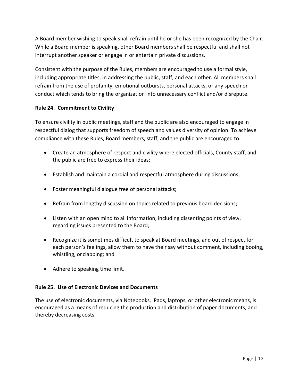A Board member wishing to speak shall refrain until he or she has been recognized by the Chair. While a Board member is speaking, other Board members shall be respectful and shall not interrupt another speaker or engage in or entertain private discussions.

Consistent with the purpose of the Rules, members are encouraged to use a formal style, including appropriate titles, in addressing the public, staff, and each other. All members shall refrain from the use of profanity, emotional outbursts, personal attacks, or any speech or conduct which tends to bring the organization into unnecessary conflict and/or disrepute.

#### **Rule 24. Commitment to Civility**

To ensure civility in public meetings, staff and the public are also encouraged to engage in respectful dialog that supports freedom of speech and values diversity of opinion. To achieve compliance with these Rules, Board members, staff, and the public are encouraged to:

- Create an atmosphere of respect and civility where elected officials, County staff, and the public are free to express their ideas;
- Establish and maintain a cordial and respectful atmosphere during discussions;
- Foster meaningful dialogue free of personal attacks;
- Refrain from lengthy discussion on topics related to previous board decisions;
- Listen with an open mind to all information, including dissenting points of view, regarding issues presented to the Board;
- Recognize it is sometimes difficult to speak at Board meetings, and out of respect for each person's feelings, allow them to have their say without comment, including booing, whistling, or clapping; and
- Adhere to speaking time limit.

#### **Rule 25. Use of Electronic Devices and Documents**

The use of electronic documents, via Notebooks, iPads, laptops, or other electronic means, is encouraged as a means of reducing the production and distribution of paper documents, and thereby decreasing costs.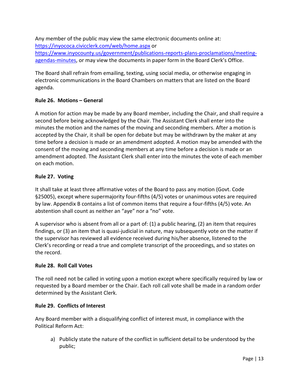Any member of the public may view the same electronic documents online at: <https://inyococa.civicclerk.com/web/home.aspx> or

[https://www.inyocounty.us/government/publications-reports-plans-proclamations/meeting](https://www.inyocounty.us/government/publications-reports-plans-proclamations/meeting-agendas-minutes)[agendas-minutes,](https://www.inyocounty.us/government/publications-reports-plans-proclamations/meeting-agendas-minutes) or may view the documents in paper form in the Board Clerk's Office.

The Board shall refrain from emailing, texting, using social media, or otherwise engaging in electronic communications in the Board Chambers on matters that are listed on the Board agenda.

#### **Rule 26. Motions – General**

A motion for action may be made by any Board member, including the Chair, and shall require a second before being acknowledged by the Chair. The Assistant Clerk shall enter into the minutes the motion and the names of the moving and seconding members. After a motion is accepted by the Chair, it shall be open for debate but may be withdrawn by the maker at any time before a decision is made or an amendment adopted. A motion may be amended with the consent of the moving and seconding members at any time before a decision is made or an amendment adopted. The Assistant Clerk shall enter into the minutes the vote of each member on each motion.

#### **Rule 27. Voting**

It shall take at least three affirmative votes of the Board to pass any motion (Govt. Code §25005), except where supermajority four-fifths (4/5) votes or unanimous votes are required by law. Appendix B contains a list of common items that require a four-fifths (4/5) vote. An abstention shall count as neither an "aye" nor a "no" vote.

A supervisor who is absent from all or a part of: (1) a public hearing, (2) an item that requires findings, or (3) an item that is quasi-judicial in nature, may subsequently vote on the matter if the supervisor has reviewed all evidence received during his/her absence, listened to the Clerk's recording or read a true and complete transcript of the proceedings, and so states on the record.

#### **Rule 28. Roll Call Votes**

The roll need not be called in voting upon a motion except where specifically required by law or requested by a Board member or the Chair. Each roll call vote shall be made in a random order determined by the Assistant Clerk.

#### **Rule 29. Conflicts of Interest**

Any Board member with a disqualifying conflict of interest must, in compliance with the Political Reform Act:

a) Publicly state the nature of the conflict in sufficient detail to be understood by the public;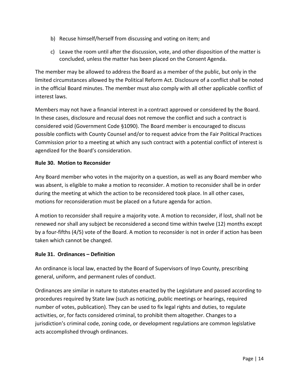- b) Recuse himself/herself from discussing and voting on item; and
- c) Leave the room until after the discussion, vote, and other disposition of the matter is concluded, unless the matter has been placed on the Consent Agenda.

The member may be allowed to address the Board as a member of the public, but only in the limited circumstances allowed by the Political Reform Act. Disclosure of a conflict shall be noted in the official Board minutes. The member must also comply with all other applicable conflict of interest laws.

Members may not have a financial interest in a contract approved or considered by the Board. In these cases, disclosure and recusal does not remove the conflict and such a contract is considered void (Government Code §1090). The Board member is encouraged to discuss possible conflicts with County Counsel and/or to request advice from the Fair Political Practices Commission prior to a meeting at which any such contract with a potential conflict of interest is agendized for the Board's consideration.

#### **Rule 30. Motion to Reconsider**

Any Board member who votes in the majority on a question, as well as any Board member who was absent, is eligible to make a motion to reconsider. A motion to reconsider shall be in order during the meeting at which the action to be reconsidered took place. In all other cases, motions for reconsideration must be placed on a future agenda for action.

A motion to reconsider shall require a majority vote. A motion to reconsider, if lost, shall not be renewed nor shall any subject be reconsidered a second time within twelve (12) months except by a four-fifths (4/5) vote of the Board. A motion to reconsider is not in order if action has been taken which cannot be changed.

#### **Rule 31. Ordinances – Definition**

An ordinance is local law, enacted by the Board of Supervisors of Inyo County, prescribing general, uniform, and permanent rules of conduct.

Ordinances are similar in nature to statutes enacted by the Legislature and passed according to procedures required by State law (such as noticing, public meetings or hearings, required number of votes, publication). They can be used to fix legal rights and duties, to regulate activities, or, for facts considered criminal, to prohibit them altogether. Changes to a jurisdiction's criminal code, zoning code, or development regulations are common legislative acts accomplished through ordinances.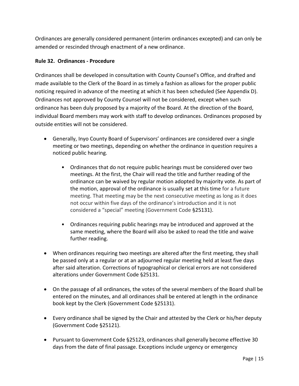Ordinances are generally considered permanent (interim ordinances excepted) and can only be amended or rescinded through enactment of a new ordinance.

#### **Rule 32. Ordinances - Procedure**

Ordinances shall be developed in consultation with County Counsel's Office, and drafted and made available to the Clerk of the Board in as timely a fashion as allows for the proper public noticing required in advance of the meeting at which it has been scheduled (See Appendix D). Ordinances not approved by County Counsel will not be considered, except when such ordinance has been duly proposed by a majority of the Board. At the direction of the Board, individual Board members may work with staff to develop ordinances. Ordinances proposed by outside entities will not be considered.

- Generally, Inyo County Board of Supervisors' ordinances are considered over a single meeting or two meetings, depending on whether the ordinance in question requires a noticed public hearing.
	- Ordinances that do not require public hearings must be considered over two meetings. At the first, the Chair will read the title and further reading of the ordinance can be waived by regular motion adopted by majority vote. As part of the motion, approval of the ordinance is usually set at this time for a future meeting. That meeting may be the next consecutive meeting as long as it does not occur within five days of the ordinance's introduction and it is not considered a "special" meeting (Government Code §25131).
	- Ordinances requiring public hearings may be introduced and approved at the same meeting, where the Board will also be asked to read the title and waive further reading.
- When ordinances requiring two meetings are altered after the first meeting, they shall be passed only at a regular or at an adjourned regular meeting held at least five days after said alteration. Corrections of typographical or clerical errors are not considered alterations under Government Code §25131.
- On the passage of all ordinances, the votes of the several members of the Board shall be entered on the minutes, and all ordinances shall be entered at length in the ordinance book kept by the Clerk (Government Code §25131).
- Every ordinance shall be signed by the Chair and attested by the Clerk or his/her deputy (Government Code §25121).
- Pursuant to Government Code §25123, ordinances shall generally become effective 30 days from the date of final passage. Exceptions include urgency or emergency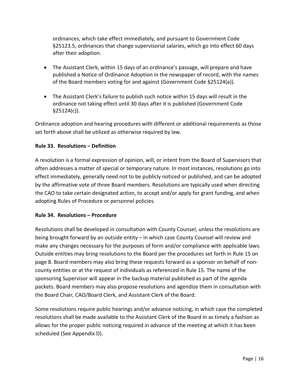ordinances, which take effect immediately, and pursuant to Government Code §25123.5, ordinances that change supervisorial salaries, which go into effect 60 days after their adoption.

- The Assistant Clerk, within 15 days of an ordinance's passage, will prepare and have published a Notice of Ordinance Adoption in the newspaper of record, with the names of the Board members voting for and against (Government Code §25124(a)).
- The Assistant Clerk's failure to publish such notice within 15 days will result in the ordinance not taking effect until 30 days after it is published (Government Code §25124(c)).

Ordinance adoption and hearing procedures with different or additional requirements as those set forth above shall be utilized as otherwise required by law.

#### **Rule 33. Resolutions – Definition**

A resolution is a formal expression of opinion, will, or intent from the Board of Supervisors that often addresses a matter of special or temporary nature. In most instances, resolutions go into effect immediately, generally need not to be publicly noticed or published, and can be adopted by the affirmative vote of three Board members. Resolutions are typically used when directing the CAO to take certain designated action, to accept and/or apply for grant funding, and when adopting Rules of Procedure or personnel policies.

#### **Rule 34. Resolutions – Procedure**

Resolutions shall be developed in consultation with County Counsel, unless the resolutions are being brought forward by an outside entity – in which case County Counsel will review and make any changes necessary for the purposes of form and/or compliance with applicable laws. Outside entities may bring resolutions to the Board per the procedures set forth in Rule 15 on page 8. Board members may also bring these requests forward as a sponsor on behalf of noncounty entities or at the request of individuals as referenced in Rule 15. The name of the sponsoring Supervisor will appear in the backup material published as part of the agenda packets. Board members may also propose resolutions and agendize them in consultation with the Board Chair, CAO/Board Clerk, and Assistant Clerk of the Board.

Some resolutions require public hearings and/or advance noticing, in which case the completed resolutions shall be made available to the Assistant Clerk of the Board in as timely a fashion as allows for the proper public noticing required in advance of the meeting at which it has been scheduled (See Appendix D).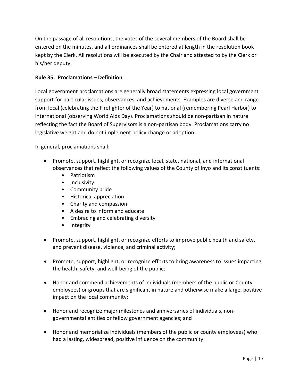On the passage of all resolutions, the votes of the several members of the Board shall be entered on the minutes, and all ordinances shall be entered at length in the resolution book kept by the Clerk. All resolutions will be executed by the Chair and attested to by the Clerk or his/her deputy.

#### **Rule 35. Proclamations – Definition**

Local government proclamations are generally broad statements expressing local government support for particular issues, observances, and achievements. Examples are diverse and range from local (celebrating the Firefighter of the Year) to national (remembering Pearl Harbor) to international (observing World Aids Day). Proclamations should be non-partisan in nature reflecting the fact the Board of Supervisors is a non-partisan body. Proclamations carry no legislative weight and do not implement policy change or adoption.

In general, proclamations shall:

- Promote, support, highlight, or recognize local, state, national, and international observances that reflect the following values of the County of Inyo and its constituents:
	- Patriotism
	- Inclusivity
	- Community pride
	- Historical appreciation
	- Charity and compassion
	- A desire to inform and educate
	- Embracing and celebrating diversity
	- Integrity
- Promote, support, highlight, or recognize efforts to improve public health and safety, and prevent disease, violence, and criminal activity;
- Promote, support, highlight, or recognize efforts to bring awareness to issues impacting the health, safety, and well-being of the public;
- Honor and commend achievements of individuals (members of the public or County employees) or groups that are significant in nature and otherwise make a large, positive impact on the local community;
- Honor and recognize major milestones and anniversaries of individuals, nongovernmental entities or fellow government agencies; and
- Honor and memorialize individuals (members of the public or county employees) who had a lasting, widespread, positive influence on the community.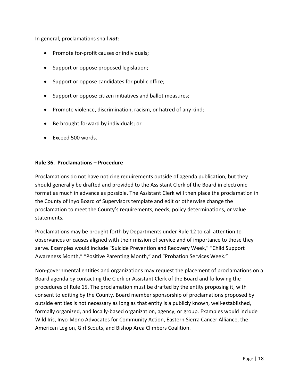In general, proclamations shall *not*:

- Promote for-profit causes or individuals;
- Support or oppose proposed legislation;
- Support or oppose candidates for public office;
- Support or oppose citizen initiatives and ballot measures;
- Promote violence, discrimination, racism, or hatred of any kind;
- Be brought forward by individuals; or
- Exceed 500 words.

#### **Rule 36. Proclamations – Procedure**

Proclamations do not have noticing requirements outside of agenda publication, but they should generally be drafted and provided to the Assistant Clerk of the Board in electronic format as much in advance as possible. The Assistant Clerk will then place the proclamation in the County of Inyo Board of Supervisors template and edit or otherwise change the proclamation to meet the County's requirements, needs, policy determinations, or value statements.

Proclamations may be brought forth by Departments under Rule 12 to call attention to observances or causes aligned with their mission of service and of importance to those they serve. Examples would include "Suicide Prevention and Recovery Week," "Child Support Awareness Month," "Positive Parenting Month," and "Probation Services Week."

Non-governmental entities and organizations may request the placement of proclamations on a Board agenda by contacting the Clerk or Assistant Clerk of the Board and following the procedures of Rule 15. The proclamation must be drafted by the entity proposing it, with consent to editing by the County. Board member sponsorship of proclamations proposed by outside entities is not necessary as long as that entity is a publicly known, well-established, formally organized, and locally-based organization, agency, or group. Examples would include Wild Iris, Inyo-Mono Advocates for Community Action, Eastern Sierra Cancer Alliance, the American Legion, Girl Scouts, and Bishop Area Climbers Coalition.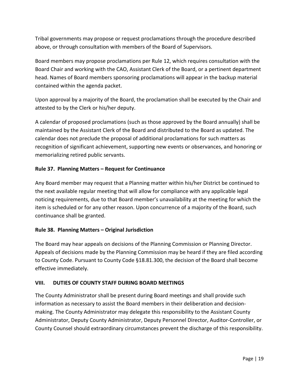Tribal governments may propose or request proclamations through the procedure described above, or through consultation with members of the Board of Supervisors.

Board members may propose proclamations per Rule 12, which requires consultation with the Board Chair and working with the CAO, Assistant Clerk of the Board, or a pertinent department head. Names of Board members sponsoring proclamations will appear in the backup material contained within the agenda packet.

Upon approval by a majority of the Board, the proclamation shall be executed by the Chair and attested to by the Clerk or his/her deputy.

A calendar of proposed proclamations (such as those approved by the Board annually) shall be maintained by the Assistant Clerk of the Board and distributed to the Board as updated. The calendar does not preclude the proposal of additional proclamations for such matters as recognition of significant achievement, supporting new events or observances, and honoring or memorializing retired public servants.

#### **Rule 37. Planning Matters – Request for Continuance**

Any Board member may request that a Planning matter within his/her District be continued to the next available regular meeting that will allow for compliance with any applicable legal noticing requirements, due to that Board member's unavailability at the meeting for which the item is scheduled or for any other reason. Upon concurrence of a majority of the Board, such continuance shall be granted.

#### **Rule 38. Planning Matters – Original Jurisdiction**

The Board may hear appeals on decisions of the Planning Commission or Planning Director. Appeals of decisions made by the Planning Commission may be heard if they are filed according to County Code. Pursuant to County Code §18.81.300, the decision of the Board shall become effective immediately.

#### <span id="page-19-0"></span>**VIII. DUTIES OF COUNTY STAFF DURING BOARD MEETINGS**

The County Administrator shall be present during Board meetings and shall provide such information as necessary to assist the Board members in their deliberation and decisionmaking. The County Administrator may delegate this responsibility to the Assistant County Administrator, Deputy County Administrator, Deputy Personnel Director, Auditor-Controller, or County Counsel should extraordinary circumstances prevent the discharge of this responsibility.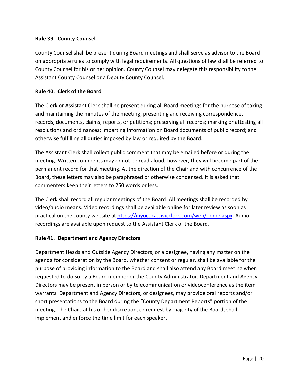#### **Rule 39. County Counsel**

County Counsel shall be present during Board meetings and shall serve as advisor to the Board on appropriate rules to comply with legal requirements. All questions of law shall be referred to County Counsel for his or her opinion. County Counsel may delegate this responsibility to the Assistant County Counsel or a Deputy County Counsel.

#### **Rule 40. Clerk of the Board**

The Clerk or Assistant Clerk shall be present during all Board meetings for the purpose of taking and maintaining the minutes of the meeting; presenting and receiving correspondence, records, documents, claims, reports, or petitions; preserving all records; marking or attesting all resolutions and ordinances; imparting information on Board documents of public record; and otherwise fulfilling all duties imposed by law or required by the Board.

The Assistant Clerk shall collect public comment that may be emailed before or during the meeting. Written comments may or not be read aloud; however, they will become part of the permanent record for that meeting. At the direction of the Chair and with concurrence of the Board, these letters may also be paraphrased or otherwise condensed. It is asked that commenters keep their letters to 250 words or less.

The Clerk shall record all regular meetings of the Board. All meetings shall be recorded by video/audio means. Video recordings shall be available online for later review as soon as practical on the county website at [https://inyococa.civicclerk.com/web/home.aspx.](https://inyococa.civicclerk.com/web/home.aspx) Audio recordings are available upon request to the Assistant Clerk of the Board.

#### **Rule 41. Department and Agency Directors**

Department Heads and Outside Agency Directors, or a designee, having any matter on the agenda for consideration by the Board, whether consent or regular, shall be available for the purpose of providing information to the Board and shall also attend any Board meeting when requested to do so by a Board member or the County Administrator. Department and Agency Directors may be present in person or by telecommunication or videoconference as the item warrants. Department and Agency Directors, or designees, may provide oral reports and/or short presentations to the Board during the "County Department Reports" portion of the meeting. The Chair, at his or her discretion, or request by majority of the Board, shall implement and enforce the time limit for each speaker.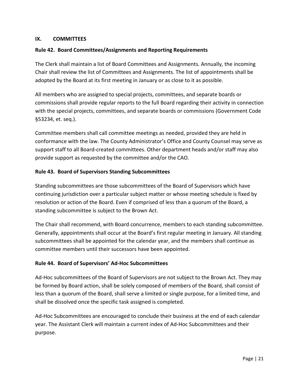#### <span id="page-21-0"></span>**IX. COMMITTEES**

#### **Rule 42. Board Committees/Assignments and Reporting Requirements**

The Clerk shall maintain a list of Board Committees and Assignments. Annually, the incoming Chair shall review the list of Committees and Assignments. The list of appointments shall be adopted by the Board at its first meeting in January or as close to it as possible.

All members who are assigned to special projects, committees, and separate boards or commissions shall provide regular reports to the full Board regarding their activity in connection with the special projects, committees, and separate boards or commissions (Government Code §53234, et. seq.).

Committee members shall call committee meetings as needed, provided they are held in conformance with the law. The County Administrator's Office and County Counsel may serve as support staff to all Board-created committees. Other department heads and/or staff may also provide support as requested by the committee and/or the CAO.

#### **Rule 43. Board of Supervisors Standing Subcommittees**

Standing subcommittees are those subcommittees of the Board of Supervisors which have continuing jurisdiction over a particular subject matter or whose meeting schedule is fixed by resolution or action of the Board. Even if comprised of less than a quorum of the Board, a standing subcommittee is subject to the Brown Act.

The Chair shall recommend, with Board concurrence, members to each standing subcommittee. Generally, appointments shall occur at the Board's first regular meeting in January. All standing subcommittees shall be appointed for the calendar year, and the members shall continue as committee members until their successors have been appointed.

#### **Rule 44. Board of Supervisors' Ad-Hoc Subcommittees**

Ad-Hoc subcommittees of the Board of Supervisors are not subject to the Brown Act. They may be formed by Board action, shall be solely composed of members of the Board, shall consist of less than a quorum of the Board, shall serve a limited or single purpose, for a limited time, and shall be dissolved once the specific task assigned is completed.

Ad-Hoc Subcommittees are encouraged to conclude their business at the end of each calendar year. The Assistant Clerk will maintain a current index of Ad-Hoc Subcommittees and their purpose.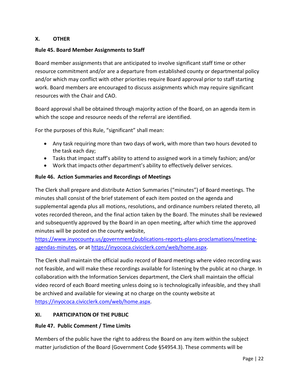#### <span id="page-22-0"></span>**X. OTHER**

#### **Rule 45. Board Member Assignments to Staff**

Board member assignments that are anticipated to involve significant staff time or other resource commitment and/or are a departure from established county or departmental policy and/or which may conflict with other priorities require Board approval prior to staff starting work. Board members are encouraged to discuss assignments which may require significant resources with the Chair and CAO.

Board approval shall be obtained through majority action of the Board, on an agenda item in which the scope and resource needs of the referral are identified.

For the purposes of this Rule, "significant" shall mean:

- Any task requiring more than two days of work, with more than two hours devoted to the task each day;
- Tasks that impact staff's ability to attend to assigned work in a timely fashion; and/or
- Work that impacts other department's ability to effectively deliver services.

#### **Rule 46. Action Summaries and Recordings of Meetings**

The Clerk shall prepare and distribute Action Summaries ("minutes") of Board meetings. The minutes shall consist of the brief statement of each item posted on the agenda and supplemental agenda plus all motions, resolutions, and ordinance numbers related thereto, all votes recorded thereon, and the final action taken by the Board. The minutes shall be reviewed and subsequently approved by the Board in an open meeting, after which time the approved minutes will be posted on the county website,

[https://www.inyocounty.us/government/publications-reports-plans-proclamations/meeting](https://www.inyocounty.us/government/publications-reports-plans-proclamations/meeting-agendas-minutes)[agendas-minutes,](https://www.inyocounty.us/government/publications-reports-plans-proclamations/meeting-agendas-minutes) or at [https://inyococa.civicclerk.com/web/home.aspx.](https://inyococa.civicclerk.com/web/home.aspx)

The Clerk shall maintain the official audio record of Board meetings where video recording was not feasible, and will make these recordings available for listening by the public at no charge. In collaboration with the Information Services department, the Clerk shall maintain the official video record of each Board meeting unless doing so is technologically infeasible, and they shall be archived and available for viewing at no charge on the county website at [https://inyococa.civicclerk.com/web/home.aspx.](https://inyococa.civicclerk.com/web/home.aspx)

#### <span id="page-22-1"></span>**XI. PARTICIPATION OF THE PUBLIC**

#### **Rule 47. Public Comment / Time Limits**

Members of the public have the right to address the Board on any item within the subject matter jurisdiction of the Board (Government Code §54954.3). These comments will be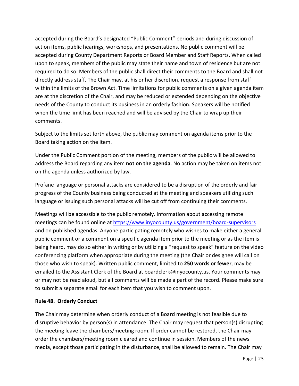accepted during the Board's designated "Public Comment" periods and during discussion of action items, public hearings, workshops, and presentations. No public comment will be accepted during County Department Reports or Board Member and Staff Reports. When called upon to speak, members of the public may state their name and town of residence but are not required to do so. Members of the public shall direct their comments to the Board and shall not directly address staff. The Chair may, at his or her discretion, request a response from staff within the limits of the Brown Act. Time limitations for public comments on a given agenda item are at the discretion of the Chair, and may be reduced or extended depending on the objective needs of the County to conduct its business in an orderly fashion. Speakers will be notified when the time limit has been reached and will be advised by the Chair to wrap up their comments.

Subject to the limits set forth above, the public may comment on agenda items prior to the Board taking action on the item.

Under the Public Comment portion of the meeting, members of the public will be allowed to address the Board regarding any item **not on the agenda**. No action may be taken on items not on the agenda unless authorized by law.

Profane language or personal attacks are considered to be a disruption of the orderly and fair progress of the County business being conducted at the meeting and speakers utilizing such language or issuing such personal attacks will be cut off from continuing their comments.

Meetings will be accessible to the public remotely. Information about accessing remote meetings can be found online a[t https://www.inyocounty.us/government/board-supervisors](https://www.inyocounty.us/government/board-supervisors) and on published agendas. Anyone participating remotely who wishes to make either a general public comment or a comment on a specific agenda item prior to the meeting or as the item is being heard, may do so either in writing or by utilizing a "request to speak" feature on the video conferencing platform when appropriate during the meeting (the Chair or designee will call on those who wish to speak). Written public comment, limited to **250 words or fewer**, may be emailed to the Assistant Clerk of the Board at [boardclerk@inyocounty.us.](mailto:boardclerk@inyocounty.us) Your comments may or may not be read aloud, but all comments will be made a part of the record. Please make sure to submit a separate email for each item that you wish to comment upon.

#### **Rule 48. Orderly Conduct**

The Chair may determine when orderly conduct of a Board meeting is not feasible due to disruptive behavior by person(s) in attendance. The Chair may request that person(s) disrupting the meeting leave the chambers/meeting room. If order cannot be restored, the Chair may order the chambers/meeting room cleared and continue in session. Members of the news media, except those participating in the disturbance, shall be allowed to remain. The Chair may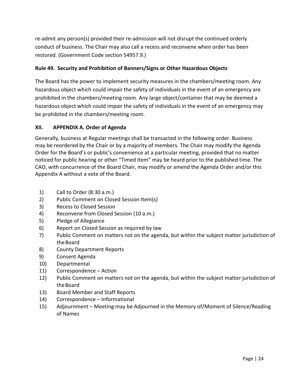re-admit any person(s) provided their re-admission will not disrupt the continued orderly conduct of business. The Chair may also call a recess and reconvene when order has been restored. (Government Code section 54957.9.)

#### **Rule 49. Security and Prohibition of Banners/Signs or Other Hazardous Objects**

The Board has the power to implement security measures in the chambers/meeting room. Any hazardous object which could impair the safety of individuals in the event of an emergency are prohibited in the chambers/meeting room. Any large object/container that may be deemed a hazardous object which could impair the safety of individuals in the event of an emergency may be prohibited in the chambers/meeting room.

#### <span id="page-24-0"></span>**XII. APPENDIX A. Order of Agenda**

Generally, business at Regular meetings shall be transacted in the following order. Business may be reordered by the Chair or by a majority of members. The Chair may modify the Agenda Order for the Board's or public's convenience at a particular meeting, provided that no matter noticed for public hearing or other "Timed Item" may be heard prior to the published time. The CAO, with concurrence of the Board Chair, may modify or amend the Agenda Order and/or this Appendix A without a vote of the Board.

- 1) Call to Order (8:30 a.m.)
- 2) Public Comment on Closed Session Item(s)
- 3) Recess to Closed Session
- 4) Reconvene from Closed Session (10 a.m.)
- 5) Pledge of Allegiance
- 6) Report on Closed Session as required by law
- 7) Public Comment on matters not on the agenda, but within the subject matter jurisdiction of the Board
- 8) County Department Reports
- 9) Consent Agenda
- 10) Departmental
- 11) Correspondence Action
- 12) Public Comment on matters not on the agenda, but within the subject matter jurisdiction of the Board
- 13) Board Member and Staff Reports
- 14) Correspondence Informational
- 15) Adjournment Meeting may be Adjourned in the Memory of/Moment of Silence/Reading of Names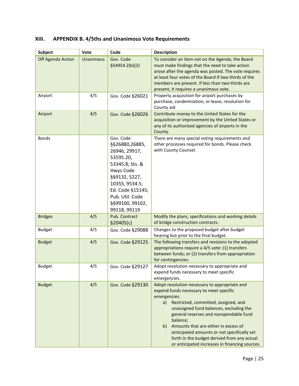### <span id="page-25-0"></span>**XIII. APPENDIX B. 4/5ths and Unanimous Vote Requirements**

| Subject           | Vote      | Code                                                                                                                                                                                                   | <b>Description</b>                                                                                                                                                                                                                                                                                                                                                                                                                                    |
|-------------------|-----------|--------------------------------------------------------------------------------------------------------------------------------------------------------------------------------------------------------|-------------------------------------------------------------------------------------------------------------------------------------------------------------------------------------------------------------------------------------------------------------------------------------------------------------------------------------------------------------------------------------------------------------------------------------------------------|
| Off Agenda Action | Unanimous | Gov. Code<br>\$54954.2(b)(2)                                                                                                                                                                           | To consider an item not on the Agenda, the Board<br>must make findings that the need to take action<br>arose after the agenda was posted. The vote requires<br>at least four votes of the Board if two-thirds of the<br>members are present. If less than two-thirds are<br>present, it requires a unanimous vote.                                                                                                                                    |
| Airport           | 4/5       | Gov. Code §26021                                                                                                                                                                                       | Property acquisition for airport purchases by<br>purchase, condemnation, or lease; resolution for<br>County aid                                                                                                                                                                                                                                                                                                                                       |
| Airport           | 4/5       | Gov. Code §26026                                                                                                                                                                                       | Contribute money to the United States for the<br>acquisition or improvement by the United States or<br>any of its authorized agencies of airports in the<br>County.                                                                                                                                                                                                                                                                                   |
| <b>Bonds</b>      |           | Gov. Code<br>§§26880,26885,<br>26946, 29917,<br>53595.20,<br>53345.8; Sts. &<br>Hwys Code<br>§§9132, 5227,<br>10355, 9534.5;<br>Ed. Code §15145;<br>Pub. Util. Code<br>§§99100, 99102,<br>99118, 99119 | There are many special voting requirements and<br>other processes required for bonds. Please check<br>with County Counsel.                                                                                                                                                                                                                                                                                                                            |
| <b>Bridges</b>    | 4/5       | Pub. Contract<br>\$20405(c)                                                                                                                                                                            | Modify the plans, specifications and working details<br>of bridge construction contracts.                                                                                                                                                                                                                                                                                                                                                             |
| <b>Budget</b>     | 4/5       | Gov. Code §29088                                                                                                                                                                                       | Changes to the proposed budget after budget<br>hearing but prior to the final budget.                                                                                                                                                                                                                                                                                                                                                                 |
| <b>Budget</b>     | 4/5       | Gov. Code §29125                                                                                                                                                                                       | The following transfers and revisions to the adopted<br>appropriations require a 4/5 vote: (1) transfers<br>between funds; or (2) transfers from appropriation<br>for contingencies.                                                                                                                                                                                                                                                                  |
| <b>Budget</b>     | 4/5       | Gov. Code §29127                                                                                                                                                                                       | Adopt resolution necessary to appropriate and<br>expend funds necessary to meet specific<br>emergencies.                                                                                                                                                                                                                                                                                                                                              |
| <b>Budget</b>     | 4/5       | Gov. Code §29130                                                                                                                                                                                       | Adopt resolution necessary to appropriate and<br>expend funds necessary to meet specific<br>emergencies.<br>Restricted, committed, assigned, and<br>a)<br>unassigned fund balances, excluding the<br>general reserves and nonspendable fund<br>balance;<br>Amounts that are either in excess of<br>b)<br>anticipated amounts or not specifically set<br>forth in the budget derived from any actual<br>or anticipated increases in financing sources. |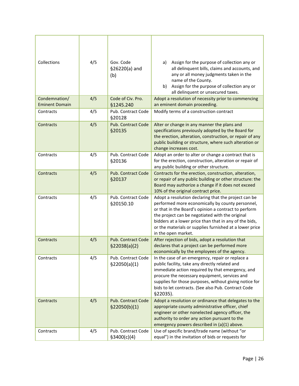| Collections                            | 4/5 | Gov. Code<br>§26220(a) and<br>(b)          | Assign for the purpose of collection any or<br>a)<br>all delinquent bills, claims and accounts, and<br>any or all money judgments taken in the<br>name of the County.<br>Assign for the purpose of collection any or<br>b)<br>all delinquent or unsecured taxes.                                                                                                |
|----------------------------------------|-----|--------------------------------------------|-----------------------------------------------------------------------------------------------------------------------------------------------------------------------------------------------------------------------------------------------------------------------------------------------------------------------------------------------------------------|
| Condemnation/<br><b>Eminent Domain</b> | 4/5 | Code of Civ. Pro.<br>§1245.240             | Adopt a resolution of necessity prior to commencing<br>an eminent domain proceeding.                                                                                                                                                                                                                                                                            |
| Contracts                              | 4/5 | Pub. Contract Code<br>§20128               | Modify terms of a construction contract                                                                                                                                                                                                                                                                                                                         |
| Contracts                              | 4/5 | <b>Pub. Contract Code</b><br>§20135        | Alter or change in any manner the plans and<br>specifications previously adopted by the Board for<br>the erection, alteration, construction, or repair of any<br>public building or structure, where such alteration or<br>change increases cost.                                                                                                               |
| Contracts                              | 4/5 | Pub. Contract Code<br>§20136               | Adopt an order to alter or change a contract that is<br>for the erection, construction, alteration or repair of<br>any public building or other structure.                                                                                                                                                                                                      |
| Contracts                              | 4/5 | <b>Pub. Contract Code</b><br>§20137        | Contracts for the erection, construction, alteration,<br>or repair of any public building or other structure: the<br>Board may authorize a change if it does not exceed<br>10% of the original contract price.                                                                                                                                                  |
| Contracts                              | 4/5 | Pub. Contract Code<br>§20150.10            | Adopt a resolution declaring that the project can be<br>performed more economically by county personnel,<br>or that in the Board's opinion a contract to perform<br>the project can be negotiated with the original<br>bidders at a lower price than that in any of the bids,<br>or the materials or supplies furnished at a lower price<br>in the open market. |
| Contracts                              | 4/5 | Pub. Contract Code<br>\$22038(a)(2)        | After rejection of bids, adopt a resolution that<br>declares that a project can be performed more<br>economically by the employees of the agency.                                                                                                                                                                                                               |
| Contracts                              | 4/5 | Pub. Contract Code<br>\$22050(a)(1)        | In the case of an emergency, repair or replace a<br>public facility, take any directly related and<br>immediate action required by that emergency, and<br>procure the necessary equipment, services and<br>supplies for those purposes, without giving notice for<br>bids to let contracts. (See also Pub. Contract Code<br>§22035).                            |
| Contracts                              | 4/5 | <b>Pub. Contract Code</b><br>\$22050(b)(1) | Adopt a resolution or ordinance that delegates to the<br>appropriate county administrative officer, chief<br>engineer or other nonelected agency officer, the<br>authority to order any action pursuant to the<br>emergency powers described in (a)(1) above.                                                                                                   |
| Contracts                              | 4/5 | Pub. Contract Code<br>\$3400(c)(4)         | Use of specific brand/trade name (without "or<br>equal") in the invitation of bids or requests for                                                                                                                                                                                                                                                              |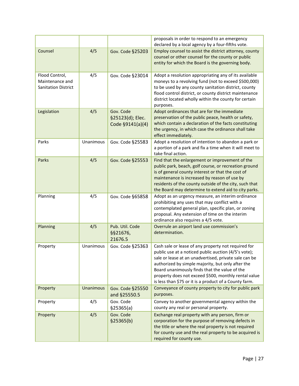|                                                                 |           |                                                   | proposals in order to respond to an emergency<br>declared by a local agency by a four-fifths vote.                                                                                                                                                                                                                                                                                           |
|-----------------------------------------------------------------|-----------|---------------------------------------------------|----------------------------------------------------------------------------------------------------------------------------------------------------------------------------------------------------------------------------------------------------------------------------------------------------------------------------------------------------------------------------------------------|
| Counsel                                                         | 4/5       | Gov. Code §25203                                  | Employ counsel to assist the district attorney, county<br>counsel or other counsel for the county or public<br>entity for which the Board is the governing body.                                                                                                                                                                                                                             |
| Flood Control,<br>Maintenance and<br><b>Sanitation District</b> | 4/5       | Gov. Code §23014                                  | Adopt a resolution appropriating any of its available<br>moneys to a revolving fund (not to exceed \$500,000)<br>to be used by any county sanitation district, county<br>flood control district, or county district maintenance<br>district located wholly within the county for certain<br>purposes.                                                                                        |
| Legislation                                                     | 4/5       | Gov. Code<br>§25123(d); Elec.<br>Code §9141(a)(4) | Adopt ordinances that are for the immediate<br>preservation of the public peace, health or safety,<br>which contain a declaration of the facts constituting<br>the urgency, in which case the ordinance shall take<br>effect immediately.                                                                                                                                                    |
| Parks                                                           | Unanimous | Gov. Code §25583                                  | Adopt a resolution of intention to abandon a park or<br>a portion of a park and fix a time when it will meet to<br>take final action.                                                                                                                                                                                                                                                        |
| Parks                                                           | 4/5       | Gov. Code §25553                                  | Find that the enlargement or improvement of the<br>public park, beach, golf course, or recreation ground<br>is of general county interest or that the cost of<br>maintenance is increased by reason of use by<br>residents of the county outside of the city, such that<br>the Board may determine to extend aid to city parks.                                                              |
| Planning                                                        | 4/5       | Gov. Code §65858                                  | Adopt as an urgency measure, an interim ordinance<br>prohibiting any uses that may conflict with a<br>contemplated general plan, specific plan, or zoning<br>proposal. Any extension of time on the interim<br>ordinance also requires a 4/5 vote.                                                                                                                                           |
| Planning                                                        | 4/5       | Pub. Util. Code<br>§§21676,<br>21676.5            | Overrule an airport land use commission's<br>determination.                                                                                                                                                                                                                                                                                                                                  |
| Property                                                        | Unanimous | Gov. Code §25363                                  | Cash sale or lease of any property not required for<br>public use at a noticed public auction (4/5's vote);<br>sale or lease at an unadvertised, private sale can be<br>authorized by simple majority, but only after the<br>Board unanimously finds that the value of the<br>property does not exceed \$500, monthly rental value<br>is less than \$75 or it is a product of a County farm. |
| Property                                                        | Unanimous | Gov. Code §25550<br>and §25550.5                  | Conveyance of county property to city for public park<br>purposes.                                                                                                                                                                                                                                                                                                                           |
| Property                                                        | 4/5       | Gov. Code<br>\$25365(a)                           | Convey to another governmental agency within the<br>county any real or personal property.                                                                                                                                                                                                                                                                                                    |
| Property                                                        | 4/5       | Gov. Code<br>\$25365(b)                           | Exchange real property with any person, firm or<br>corporation for the purpose of removing defects in<br>the title or where the real property is not required<br>for county use and the real property to be acquired is<br>required for county use.                                                                                                                                          |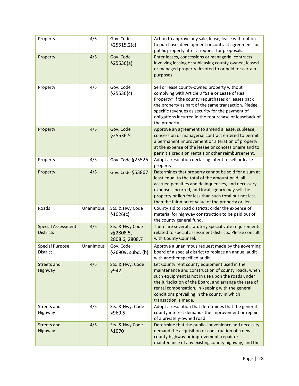| Property                                      | 4/5       | Gov. Code<br>\$25515.2(c)                      | Action to approve any sale, lease, lease with option<br>to purchase, development or contract agreement for<br>public property after a request for proposals.                                                                                                                                                                                  |
|-----------------------------------------------|-----------|------------------------------------------------|-----------------------------------------------------------------------------------------------------------------------------------------------------------------------------------------------------------------------------------------------------------------------------------------------------------------------------------------------|
| Property                                      | 4/5       | Gov. Code<br>\$25536(a)                        | Enter leases, concessions or managerial contracts<br>involving leasing or subleasing county-owned, leased<br>or managed property devoted to or held for certain<br>purposes.                                                                                                                                                                  |
| Property                                      | 4/5       | Gov. Code<br>\$25536(c)                        | Sell or lease county-owned property without<br>complying with Article 8 "Sale or Lease of Real<br>Property" if the county repurchases or leases back<br>the property as part of the same transaction. Pledge<br>specific revenues as security for the payment of<br>obligations incurred in the repurchase or leaseback of<br>the property.   |
| Property                                      | 4/5       | Gov. Code<br>§25536.5                          | Approve an agreement to amend a lease, sublease,<br>concession or managerial contract entered to permit<br>a permanent improvement or alteration of property<br>at the expense of the lessee or concessionaire and to<br>permit a credit on rentals or other reimbursement.                                                                   |
| Property                                      | 4/5       | Gov. Code §25526                               | Adopt a resolution declaring intent to sell or lease<br>property.                                                                                                                                                                                                                                                                             |
| Property                                      | 4/5       | Gov. Code §53867                               | Determines that property cannot be sold for a sum at<br>least equal to the total of the amount paid, all<br>accrued penalties and delinquencies, and necessary<br>expenses incurred, and local agency may sell the<br>property or lien for less than such total but not less<br>than the fair market value of the property or lien.           |
| Roads                                         | Unanimous | Sts. & Hwy Code<br>\$1026(c)                   | County aid to road districts; order the expense of<br>material for highway construction to be paid out of<br>the county general fund.                                                                                                                                                                                                         |
| <b>Special Assessment</b><br><b>Districts</b> | 4/5       | Sts. & Hwy Code<br>§§2808.5,<br>2808.6, 2808.7 | There are several statutory special vote requirements<br>related to special assessment districts. Please consult<br>with County Counsel.                                                                                                                                                                                                      |
| <b>Special Purpose</b><br>District            | Unanimous | Gov. Code<br>§26909, subd. (b)                 | Approve a unanimous request made by the governing<br>board of a special district to replace an annual audit<br>with another specified audit.                                                                                                                                                                                                  |
| Streets and<br>Highway                        | 4/5       | Sts. & Hwy. Code<br>§942                       | Let County rent county equipment used in the<br>maintenance and construction of county roads, when<br>such equipment is not in use upon the roads under<br>the jurisdiction of the Board, and arrange the rate of<br>rental compensation, in keeping with the general<br>conditions prevailing in the county in which<br>transaction is made. |
| Streets and<br>Highway                        | 4/5       | Sts. & Hwy. Code<br>\$969.5                    | Adopt a resolution that determines that the general<br>county interest demands the improvement or repair<br>of a privately-owned road.                                                                                                                                                                                                        |
| Streets and<br>Highway                        | 4/5       | Sts. & Hwy Code<br>§1070                       | Determine that the public convenience and necessity<br>demand the acquisition or construction of a new<br>county highway or improvement, repair or<br>maintenance of any existing county highway, and the                                                                                                                                     |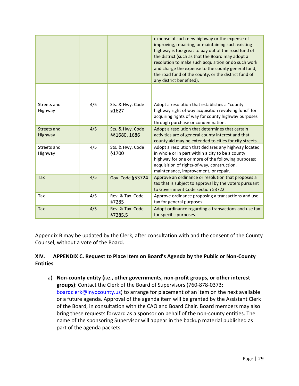|                        |     |                                  | expense of such new highway or the expense of<br>improving, repairing, or maintaining such existing<br>highway is too great to pay out of the road fund of<br>the district (such as that the Board may adopt a<br>resolution to make such acquisition or do such work<br>and charge the expense to the county general fund,<br>the road fund of the county, or the district fund of<br>any district benefited). |
|------------------------|-----|----------------------------------|-----------------------------------------------------------------------------------------------------------------------------------------------------------------------------------------------------------------------------------------------------------------------------------------------------------------------------------------------------------------------------------------------------------------|
| Streets and<br>Highway | 4/5 | Sts. & Hwy. Code<br>§1627        | Adopt a resolution that establishes a "county<br>highway right of way acquisition revolving fund" for<br>acquiring rights of way for county highway purposes<br>through purchase or condemnation.                                                                                                                                                                                                               |
| Streets and<br>Highway | 4/5 | Sts. & Hwy. Code<br>§§1680, 1686 | Adopt a resolution that determines that certain<br>activities are of general county interest and that<br>county aid may be extended to cities for city streets.                                                                                                                                                                                                                                                 |
| Streets and<br>Highway | 4/5 | Sts. & Hwy. Code<br>§1700        | Adopt a resolution that declares any highway located<br>in whole or in part within a city to be a county<br>highway for one or more of the following purposes:<br>acquisition of rights-of-way, construction,<br>maintenance, improvement, or repair.                                                                                                                                                           |
| <b>Tax</b>             | 4/5 | Gov. Code §53724                 | Approve an ordinance or resolution that proposes a<br>tax that is subject to approval by the voters pursuant<br>to Government Code section 53722                                                                                                                                                                                                                                                                |
| Tax                    | 4/5 | Rev. & Tax. Code<br>§7285        | Approve ordinance proposing a transactions and use<br>tax for general purposes.                                                                                                                                                                                                                                                                                                                                 |
| <b>Tax</b>             | 4/5 | Rev. & Tax. Code<br>§7285.5      | Adopt ordinance regarding a transactions and use tax<br>for specific purposes.                                                                                                                                                                                                                                                                                                                                  |

Appendix B may be updated by the Clerk, after consultation with and the consent of the County Counsel, without a vote of the Board.

#### <span id="page-29-0"></span>**XIV. APPENDIX C. Request to Place Item on Board's Agenda by the Public or Non-County Entities**

a) **Non-county entity (i.e., other governments, non-profit groups, or other interest groups)**: Contact the Clerk of the Board of Supervisors (760-878-0373; [boardclerk@inyocounty.us\)](mailto:dellis@inyocounty.us) to arrange for placement of an item on the next available or a future agenda. Approval of the agenda item will be granted by the Assistant Clerk of the Board, in consultation with the CAO and Board Chair. Board members may also bring these requests forward as a sponsor on behalf of the non-county entities. The name of the sponsoring Supervisor will appear in the backup material published as part of the agenda packets.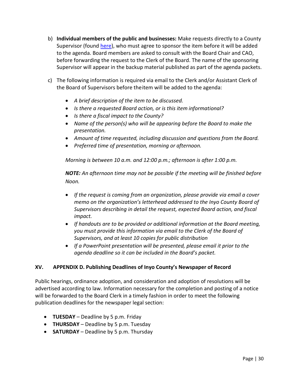- b) **Individual members of the public and businesses:** Make requests directly to a County Supervisor (found [here\)](https://www.inyocounty.us/government/board-supervisors/district-lookup-address), who must agree to sponsor the item before it will be added to the agenda. Board members are asked to consult with the Board Chair and CAO, before forwarding the request to the Clerk of the Board. The name of the sponsoring Supervisor will appear in the backup material published as part of the agenda packets.
- c) The following information is required via email to the Clerk and/or Assistant Clerk of the Board of Supervisors before theitem will be added to the agenda:
	- *A brief description of the item to be discussed.*
	- *Is there a requested Board action, or is this item informational?*
	- *Is there a fiscal impact to the County?*
	- *Name of the person(s) who will be appearing before the Board to make the presentation.*
	- *Amount of time requested, including discussion and questions from the Board.*
	- *Preferred time of presentation, morning or afternoon.*

*Morning is between 10 a.m. and 12:00 p.m.; afternoon is after 1:00 p.m.*

*NOTE: An afternoon time may not be possible if the meeting will be finished before Noon.*

- *If the request is coming from an organization, please provide via email a cover memo on the organization's letterhead addressed to the Inyo County Board of Supervisors describing in detail the request, expected Board action, and fiscal impact.*
- *If handouts are to be provided or additional information at the Board meeting, you must provide this information via email to the Clerk of the Board of Supervisors, and at least 10 copies for public distribution*
- *If a PowerPoint presentation will be presented, please email it prior to the agenda deadline so it can be included in the Board's packet.*

#### <span id="page-30-0"></span>**XV. APPENDIX D. Publishing Deadlines of Inyo County's Newspaper of Record**

Public hearings, ordinance adoption, and consideration and adoption of resolutions will be advertised according to law. Information necessary for the completion and posting of a notice will be forwarded to the Board Clerk in a timely fashion in order to meet the following publication deadlines for the newspaper legal section:

- **TUESDAY** Deadline by 5 p.m. Friday
- **THURSDAY**  Deadline by 5 p.m. Tuesday
- **SATURDAY** Deadline by 5 p.m. Thursday